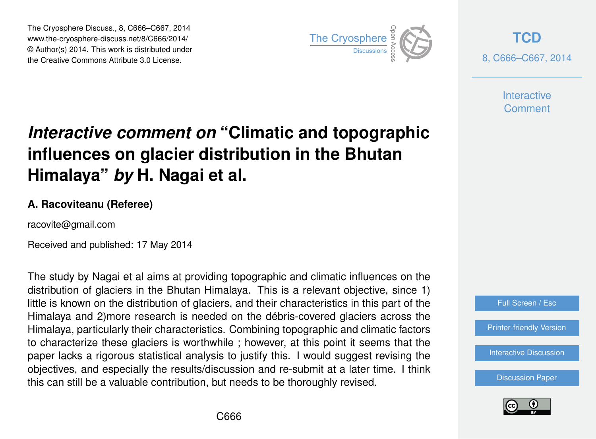The Cryosphere Discuss., 8, C666–C667, 2014 www.the-cryosphere-discuss.net/8/C666/2014/ © Author(s) 2014. This work is distributed under The Cryosphere Discuss., 8, C666–C667, 2014<br>
www.the-cryosphere-discuss.net/8/C666/2014/<br>
© Author(s) 2014. This work is distributed under<br>
the Creative Commons Attribute 3.0 License.



**[TCD](http://www.the-cryosphere-discuss.net)** 8, C666–C667, 2014

> **Interactive Comment**

## *Interactive comment on* **"Climatic and topographic influences on glacier distribution in the Bhutan Himalaya"** *by* **H. Nagai et al.**

## **A. Racoviteanu (Referee)**

racovite@gmail.com

Received and published: 17 May 2014

The study by Nagai et al aims at providing topographic and climatic influences on the distribution of glaciers in the Bhutan Himalaya. This is a relevant objective, since 1) little is known on the distribution of glaciers, and their characteristics in this part of the Himalaya and 2)more research is needed on the débris-covered glaciers across the Himalaya, particularly their characteristics. Combining topographic and climatic factors to characterize these glaciers is worthwhile ; however, at this point it seems that the paper lacks a rigorous statistical analysis to justify this. I would suggest revising the objectives, and especially the results/discussion and re-submit at a later time. I think this can still be a valuable contribution, but needs to be thoroughly revised.